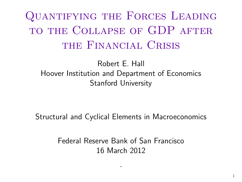Quantifying the Forces Leading to the Collapse of GDP after THE FINANCIAL CRISIS

Robert E. Hall Hoover Institution and Department of Economics Stanford University

Structural and Cyclical Elements in Macroeconomics

Federal Reserve Bank of San Francisco 16 March 2012

·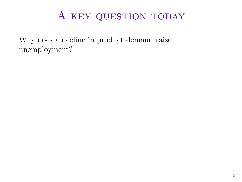Why does a decline in product demand raise unemployment?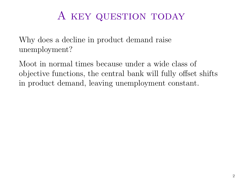Why does a decline in product demand raise unemployment?

Moot in normal times because under a wide class of objective functions, the central bank will fully offset shifts in product demand, leaving unemployment constant.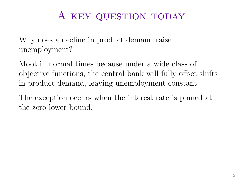Why does a decline in product demand raise unemployment?

Moot in normal times because under a wide class of objective functions, the central bank will fully offset shifts in product demand, leaving unemployment constant.

The exception occurs when the interest rate is pinned at the zero lower bound.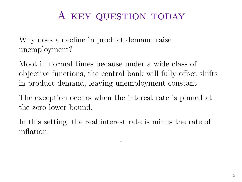Why does a decline in product demand raise unemployment?

Moot in normal times because under a wide class of objective functions, the central bank will fully offset shifts in product demand, leaving unemployment constant.

The exception occurs when the interest rate is pinned at the zero lower bound.

In this setting, the real interest rate is minus the rate of inflation.

·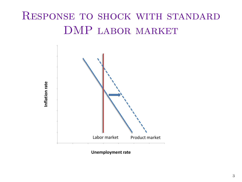## Response to shock with standard DMP labor market



**Unemployment rate**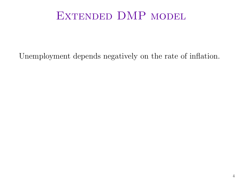### EXTENDED DMP MODEL

Unemployment depends negatively on the rate of inflation.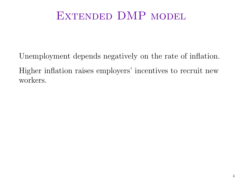### EXTENDED DMP MODEL

Unemployment depends negatively on the rate of inflation. Higher inflation raises employers' incentives to recruit new workers.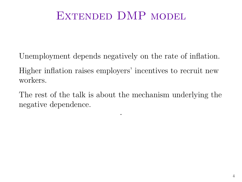### EXTENDED DMP MODEL

Unemployment depends negatively on the rate of inflation.

Higher inflation raises employers' incentives to recruit new workers.

The rest of the talk is about the mechanism underlying the negative dependence.

·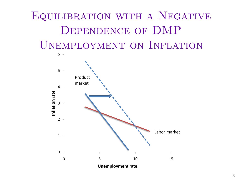# Equilibration with a Negative Dependence of DMP Unemployment on Inflation

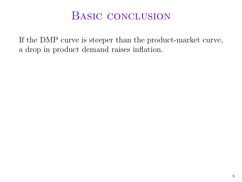#### BASIC CONCLUSION

If the DMP curve is steeper than the product-market curve, a drop in product demand raises inflation.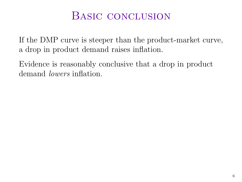#### BASIC CONCLUSION

If the DMP curve is steeper than the product-market curve, a drop in product demand raises inflation.

Evidence is reasonably conclusive that a drop in product demand lowers inflation.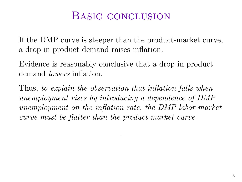#### Basic conclusion

If the DMP curve is steeper than the product-market curve, a drop in product demand raises inflation.

Evidence is reasonably conclusive that a drop in product demand lowers inflation.

Thus, to explain the observation that inflation falls when unemployment rises by introducing a dependence of DMP unemployment on the inflation rate, the DMP labor-market curve must be flatter than the product-market curve.

·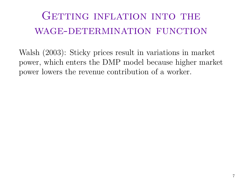GETTING INFLATION INTO THE WAGE-DETERMINATION FUNCTION

Walsh (2003): Sticky prices result in variations in market power, which enters the DMP model because higher market power lowers the revenue contribution of a worker.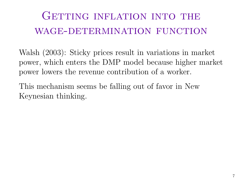GETTING INFLATION INTO THE WAGE-DETERMINATION FUNCTION

Walsh (2003): Sticky prices result in variations in market power, which enters the DMP model because higher market power lowers the revenue contribution of a worker.

This mechanism seems be falling out of favor in New Keynesian thinking.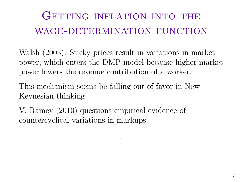GETTING INFLATION INTO THE WAGE-DETERMINATION FUNCTION

Walsh (2003): Sticky prices result in variations in market power, which enters the DMP model because higher market power lowers the revenue contribution of a worker.

·

This mechanism seems be falling out of favor in New Keynesian thinking.

V. Ramey (2010) questions empirical evidence of countercyclical variations in markups.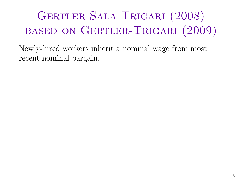Newly-hired workers inherit a nominal wage from most recent nominal bargain.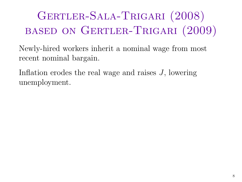Newly-hired workers inherit a nominal wage from most recent nominal bargain.

Inflation erodes the real wage and raises J, lowering unemployment.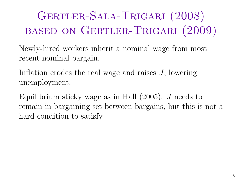Newly-hired workers inherit a nominal wage from most recent nominal bargain.

Inflation erodes the real wage and raises J, lowering unemployment.

Equilibrium sticky wage as in Hall  $(2005)$ : J needs to remain in bargaining set between bargains, but this is not a hard condition to satisfy.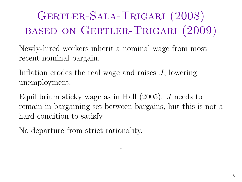Newly-hired workers inherit a nominal wage from most recent nominal bargain.

Inflation erodes the real wage and raises J, lowering unemployment.

Equilibrium sticky wage as in Hall  $(2005)$ : J needs to remain in bargaining set between bargains, but this is not a hard condition to satisfy.

·

No departure from strict rationality.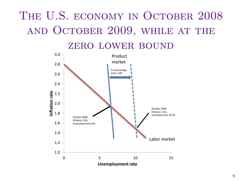# THE U.S. ECONOMY IN OCTOBER 2008 and October 2009, while at the

zero lower bound

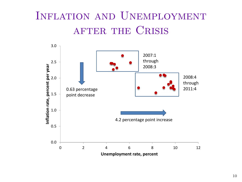## Inflation and Unemployment AFTER THE CRISIS

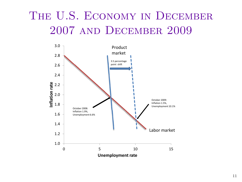## THE U.S. ECONOMY IN DECEMBER 2007 and December 2009

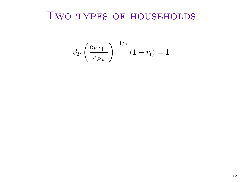$$
\beta_P \left(\frac{c_{P,t+1}}{c_{P,t}}\right)^{-1/\sigma} (1+r_t) = 1
$$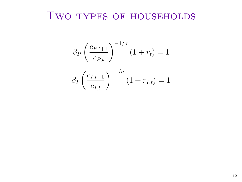$$
\beta_P \left(\frac{c_{P,t+1}}{c_{P,t}}\right)^{-1/\sigma} (1+r_t) = 1
$$

$$
\beta_I \left(\frac{c_{I,t+1}}{c_{I,t}}\right)^{-1/\sigma} (1+r_{I,t}) = 1
$$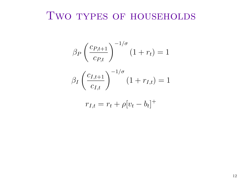$$
\beta_P \left(\frac{c_{P,t+1}}{c_{P,t}}\right)^{-1/\sigma} (1+r_t) = 1
$$

$$
\beta_I \left(\frac{c_{I,t+1}}{c_{I,t}}\right)^{-1/\sigma} (1+r_{I,t}) = 1
$$

$$
r_{I,t} = r_t + \rho [v_t - b_t]^+
$$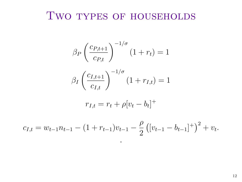$$
\beta_P \left(\frac{c_{P,t+1}}{c_{P,t}}\right)^{-1/\sigma} (1+r_t) = 1
$$

$$
\beta_I \left(\frac{c_{I,t+1}}{c_{I,t}}\right)^{-1/\sigma} (1+r_{I,t}) = 1
$$

$$
r_{I,t} = r_t + \rho [v_t - b_t]^+
$$

$$
c_{I,t} = w_{t-1} n_{t-1} - (1+r_{t-1}) v_{t-1} - \frac{\rho}{2} \left([v_{t-1} - b_{t-1}]^+\right)^2 + v_t.
$$

·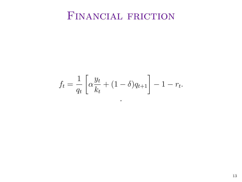## FINANCIAL FRICTION

$$
f_t = \frac{1}{q_t} \left[ \alpha \frac{y_t}{k_t} + (1 - \delta) q_{t+1} \right] - 1 - r_t.
$$

·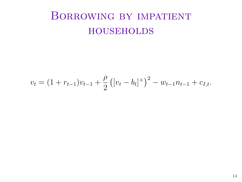## Borrowing by impatient **HOUSEHOLDS**

$$
v_t = (1 + r_{t-1})v_{t-1} + \frac{\rho}{2}([v_t - b_t]^+)^2 - w_{t-1}n_{t-1} + c_{I,t}.
$$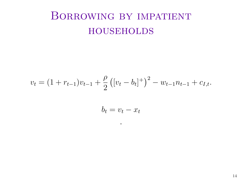## Borrowing by impatient **HOUSEHOLDS**

$$
v_t = (1 + r_{t-1})v_{t-1} + \frac{\rho}{2}((v_t - b_t)^+)^2 - w_{t-1}n_{t-1} + c_{I,t}.
$$

$$
b_t = v_t - x_t
$$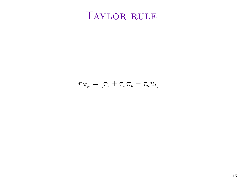## TAYLOR RULE

$$
r_{N,t} = \left[\tau_0 + \tau_\pi \pi_t - \tau_u u_t\right]^+
$$

·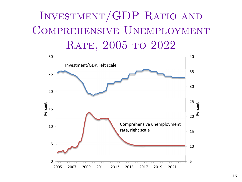# Investment/GDP Ratio and Comprehensive Unemployment RATE, 2005 TO 2022

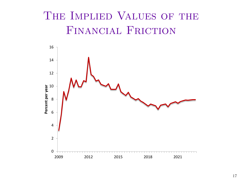## The Implied Values of the Financial Friction

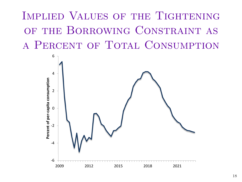Implied Values of the Tightening of the Borrowing Constraint as a Percent of Total Consumption

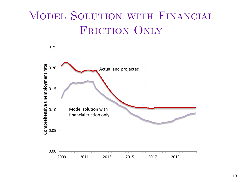## Model Solution with Financial FRICTION ONLY